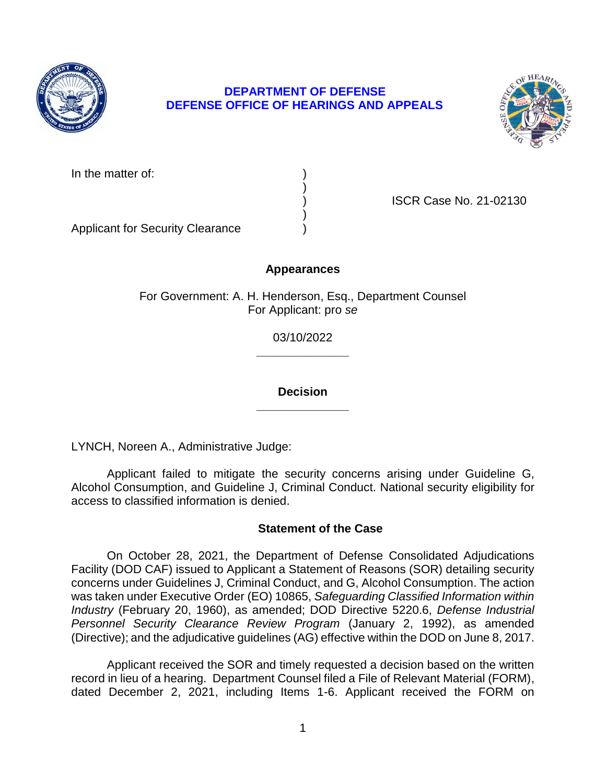

# **DEPARTMENT OF DEFENSE DEFENSE OFFICE OF HEARINGS AND APPEALS**



In the matter of:

) ISCR Case No. 21-02130

Applicant for Security Clearance )

# **Appearances**

)

)

For Government: A. H. Henderson, Esq., Department Counsel For Applicant: pro *se* 

> **\_\_\_\_\_\_\_\_\_\_\_\_\_\_**  03/10/2022

> **\_\_\_\_\_\_\_\_\_\_\_\_\_\_ Decision**

LYNCH, Noreen A., Administrative Judge:

 Applicant failed to mitigate the security concerns arising under Guideline G, Alcohol Consumption, and Guideline J, Criminal Conduct. National security eligibility for access to classified information is denied.

# **Statement of the Case**

 On October 28, 2021, the Department of Defense Consolidated Adjudications Facility (DOD CAF) issued to Applicant a Statement of Reasons (SOR) detailing security concerns under Guidelines J, Criminal Conduct, and G, Alcohol Consumption. The action  was taken under Executive Order (EO) 10865, *Safeguarding Classified Information within Industry* (February 20, 1960), as amended; DOD Directive 5220.6, *Defense Industrial*  Personnel Security Clearance Review Program (January 2, 1992), as amended (Directive); and the adjudicative guidelines (AG) effective within the DOD on June 8, 2017.

 Applicant received the SOR and timely requested a decision based on the written record in lieu of a hearing. Department Counsel filed a File of Relevant Material (FORM), dated December 2, 2021, including Items 1-6. Applicant received the FORM on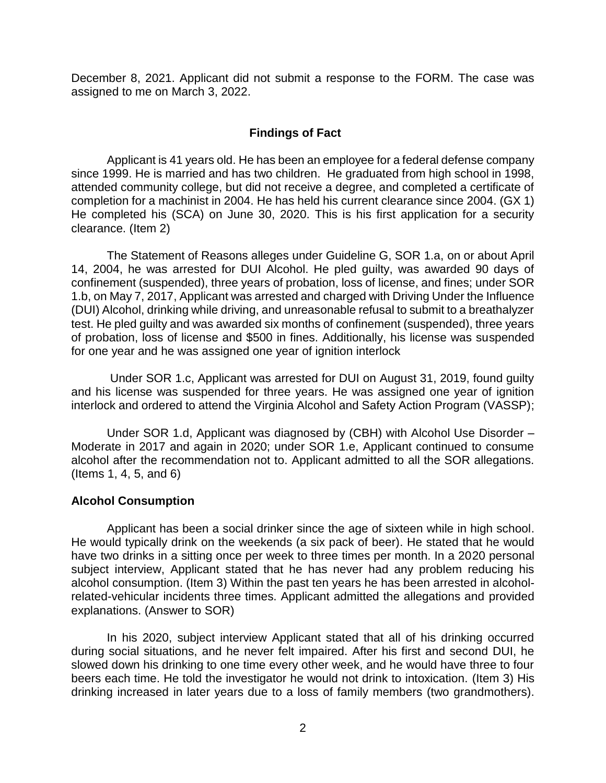December 8, 2021. Applicant did not submit a response to the FORM. The case was assigned to me on March 3, 2022.

# **Findings of Fact**

 Applicant is 41 years old. He has been an employee for a federal defense company since 1999. He is married and has two children. He graduated from high school in 1998, completion for a machinist in 2004. He has held his current clearance since 2004. (GX 1) He completed his (SCA) on June 30, 2020. This is his first application for a security attended community college, but did not receive a degree, and completed a certificate of clearance. (Item 2)

 The Statement of Reasons alleges under Guideline G, SOR 1.a, on or about April 14, 2004, he was arrested for DUI Alcohol. He pled guilty, was awarded 90 days of confinement (suspended), three years of probation, loss of license, and fines; under SOR 1.b, on May 7, 2017, Applicant was arrested and charged with Driving Under the Influence (DUI) Alcohol, drinking while driving, and unreasonable refusal to submit to a breathalyzer test. He pled guilty and was awarded six months of confinement (suspended), three years of probation, loss of license and \$500 in fines. Additionally, his license was suspended for one year and he was assigned one year of ignition interlock

 Under SOR 1.c, Applicant was arrested for DUI on August 31, 2019, found guilty and his license was suspended for three years. He was assigned one year of ignition interlock and ordered to attend the Virginia Alcohol and Safety Action Program (VASSP);

 Under SOR 1.d, Applicant was diagnosed by (CBH) with Alcohol Use Disorder – Moderate in 2017 and again in 2020; under SOR 1.e, Applicant continued to consume alcohol after the recommendation not to. Applicant admitted to all the SOR allegations. (Items 1, 4, 5, and 6)

# **Alcohol Consumption**

 Applicant has been a social drinker since the age of sixteen while in high school. He would typically drink on the weekends (a six pack of beer). He stated that he would have two drinks in a sitting once per week to three times per month. In a 2020 personal subject interview, Applicant stated that he has never had any problem reducing his alcohol consumption. (Item 3) Within the past ten years he has been arrested in alcoholrelated-vehicular incidents three times. Applicant admitted the allegations and provided explanations. (Answer to SOR)

In his 2020, subject interview Applicant stated that all of his drinking occurred during social situations, and he never felt impaired. After his first and second DUI, he slowed down his drinking to one time every other week, and he would have three to four beers each time. He told the investigator he would not drink to intoxication. (Item 3) His drinking increased in later years due to a loss of family members (two grandmothers).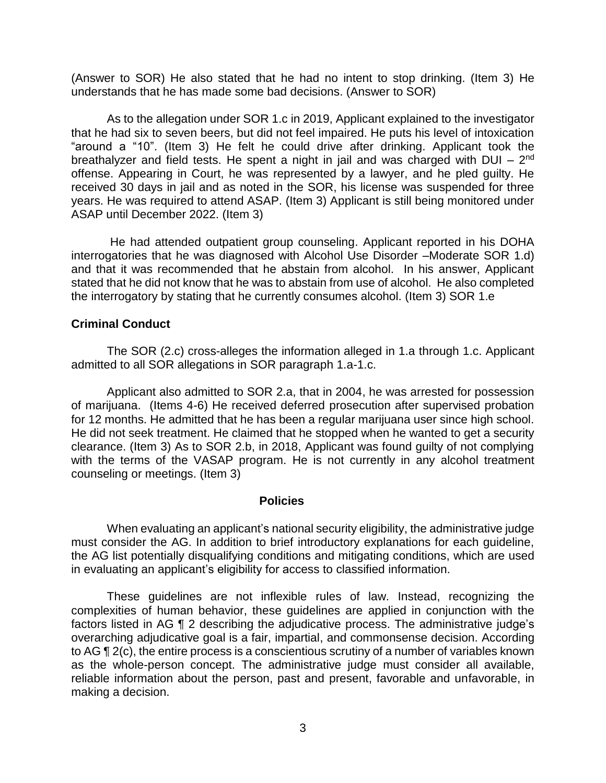(Answer to SOR) He also stated that he had no intent to stop drinking. (Item 3) He understands that he has made some bad decisions. (Answer to SOR)

As to the allegation under SOR 1.c in 2019, Applicant explained to the investigator that he had six to seven beers, but did not feel impaired. He puts his level of intoxication "around a "10". (Item 3) He felt he could drive after drinking. Applicant took the breathalyzer and field tests. He spent a night in jail and was charged with DUI –  $2<sup>nd</sup>$ offense. Appearing in Court, he was represented by a lawyer, and he pled guilty. He received 30 days in jail and as noted in the SOR, his license was suspended for three years. He was required to attend ASAP. (Item 3) Applicant is still being monitored under ASAP until December 2022. (Item 3)

 He had attended outpatient group counseling. Applicant reported in his DOHA interrogatories that he was diagnosed with Alcohol Use Disorder –Moderate SOR 1.d) and that it was recommended that he abstain from alcohol. In his answer, Applicant stated that he did not know that he was to abstain from use of alcohol. He also completed the interrogatory by stating that he currently consumes alcohol. (Item 3) SOR 1.e

# **Criminal Conduct**

 The SOR (2.c) cross-alleges the information alleged in 1.a through 1.c. Applicant admitted to all SOR allegations in SOR paragraph 1.a-1.c.

 Applicant also admitted to SOR 2.a, that in 2004, he was arrested for possession of marijuana. (Items 4-6) He received deferred prosecution after supervised probation for 12 months. He admitted that he has been a regular marijuana user since high school. clearance. (Item 3) As to SOR 2.b, in 2018, Applicant was found guilty of not complying with the terms of the VASAP program. He is not currently in any alcohol treatment He did not seek treatment. He claimed that he stopped when he wanted to get a security counseling or meetings. (Item 3)

#### **Policies**

 must consider the AG. In addition to brief introductory explanations for each guideline, When evaluating an applicant's national security eligibility, the administrative judge the AG list potentially disqualifying conditions and mitigating conditions, which are used in evaluating an applicant's eligibility for access to classified information.

 These guidelines are not inflexible rules of law. Instead, recognizing the complexities of human behavior, these guidelines are applied in conjunction with the overarching adjudicative goal is a fair, impartial, and commonsense decision. According to AG ¶ 2(c), the entire process is a conscientious scrutiny of a number of variables known as the whole-person concept. The administrative judge must consider all available, reliable information about the person, past and present, favorable and unfavorable, in factors listed in AG ¶ 2 describing the adjudicative process. The administrative judge's making a decision.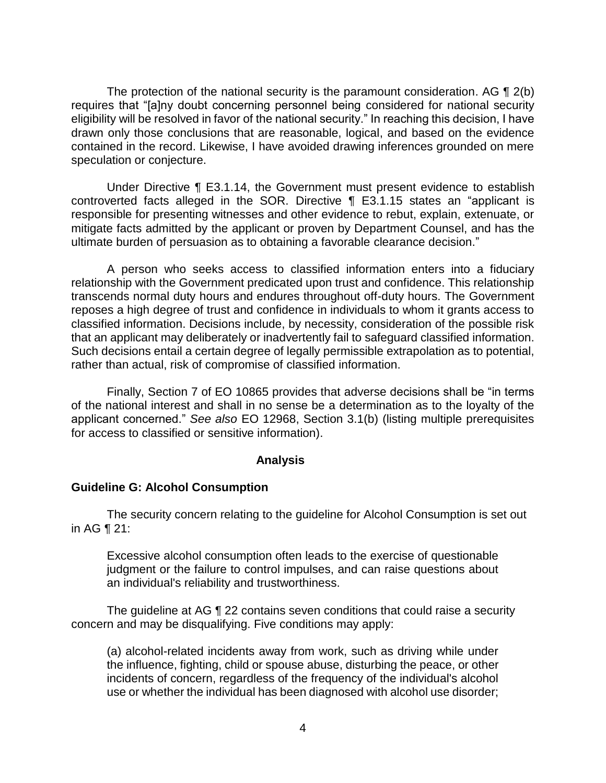The protection of the national security is the paramount consideration. AG  $\P$  2(b) eligibility will be resolved in favor of the national security." In reaching this decision, I have drawn only those conclusions that are reasonable, logical, and based on the evidence contained in the record. Likewise, I have avoided drawing inferences grounded on mere requires that "[a]ny doubt concerning personnel being considered for national security speculation or conjecture.

 Under Directive ¶ E3.1.14, the Government must present evidence to establish controverted facts alleged in the SOR. Directive ¶ E3.1.15 states an "applicant is responsible for presenting witnesses and other evidence to rebut, explain, extenuate, or mitigate facts admitted by the applicant or proven by Department Counsel, and has the ultimate burden of persuasion as to obtaining a favorable clearance decision."

 A person who seeks access to classified information enters into a fiduciary relationship with the Government predicated upon trust and confidence. This relationship transcends normal duty hours and endures throughout off-duty hours. The Government reposes a high degree of trust and confidence in individuals to whom it grants access to classified information. Decisions include, by necessity, consideration of the possible risk that an applicant may deliberately or inadvertently fail to safeguard classified information. Such decisions entail a certain degree of legally permissible extrapolation as to potential, rather than actual, risk of compromise of classified information.

 Finally, Section 7 of EO 10865 provides that adverse decisions shall be "in terms of the national interest and shall in no sense be a determination as to the loyalty of the applicant concerned." *See also* EO 12968, Section 3.1(b) (listing multiple prerequisites for access to classified or sensitive information).

#### **Analysis**

#### **Guideline G: Alcohol Consumption**

 The security concern relating to the guideline for Alcohol Consumption is set out in AG ¶ 21:

Excessive alcohol consumption often leads to the exercise of questionable judgment or the failure to control impulses, and can raise questions about an individual's reliability and trustworthiness.

The guideline at AG ¶ 22 contains seven conditions that could raise a security concern and may be disqualifying. Five conditions may apply:

(a) alcohol-related incidents away from work, such as driving while under the influence, fighting, child or spouse abuse, disturbing the peace, or other incidents of concern, regardless of the frequency of the individual's alcohol use or whether the individual has been diagnosed with alcohol use disorder;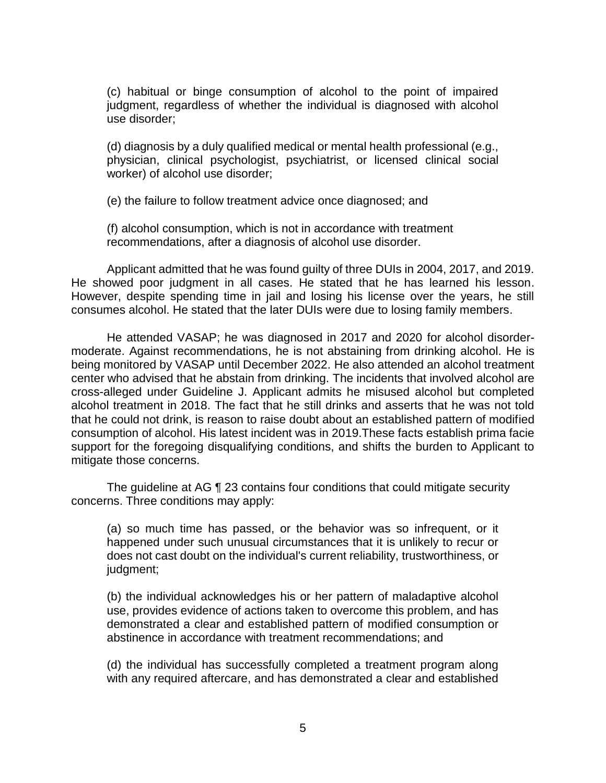(c) habitual or binge consumption of alcohol to the point of impaired judgment, regardless of whether the individual is diagnosed with alcohol use disorder;

(d) diagnosis by a duly qualified medical or mental health professional (e.g., physician, clinical psychologist, psychiatrist, or licensed clinical social worker) of alcohol use disorder;

(e) the failure to follow treatment advice once diagnosed; and

(f) alcohol consumption, which is not in accordance with treatment recommendations, after a diagnosis of alcohol use disorder.

 Applicant admitted that he was found guilty of three DUIs in 2004, 2017, and 2019. He showed poor judgment in all cases. He stated that he has learned his lesson. However, despite spending time in jail and losing his license over the years, he still consumes alcohol. He stated that the later DUIs were due to losing family members.

 He attended VASAP; he was diagnosed in 2017 and 2020 for alcohol disorder- moderate. Against recommendations, he is not abstaining from drinking alcohol. He is being monitored by VASAP until December 2022. He also attended an alcohol treatment center who advised that he abstain from drinking. The incidents that involved alcohol are cross-alleged under Guideline J. Applicant admits he misused alcohol but completed alcohol treatment in 2018. The fact that he still drinks and asserts that he was not told that he could not drink, is reason to raise doubt about an established pattern of modified consumption of alcohol. His latest incident was in 2019.These facts establish prima facie support for the foregoing disqualifying conditions, and shifts the burden to Applicant to mitigate those concerns.

The guideline at AG ¶ 23 contains four conditions that could mitigate security concerns. Three conditions may apply:

(a) so much time has passed, or the behavior was so infrequent, or it happened under such unusual circumstances that it is unlikely to recur or does not cast doubt on the individual's current reliability, trustworthiness, or judgment;

(b) the individual acknowledges his or her pattern of maladaptive alcohol use, provides evidence of actions taken to overcome this problem, and has demonstrated a clear and established pattern of modified consumption or abstinence in accordance with treatment recommendations; and

 (d) the individual has successfully completed a treatment program along with any required aftercare, and has demonstrated a clear and established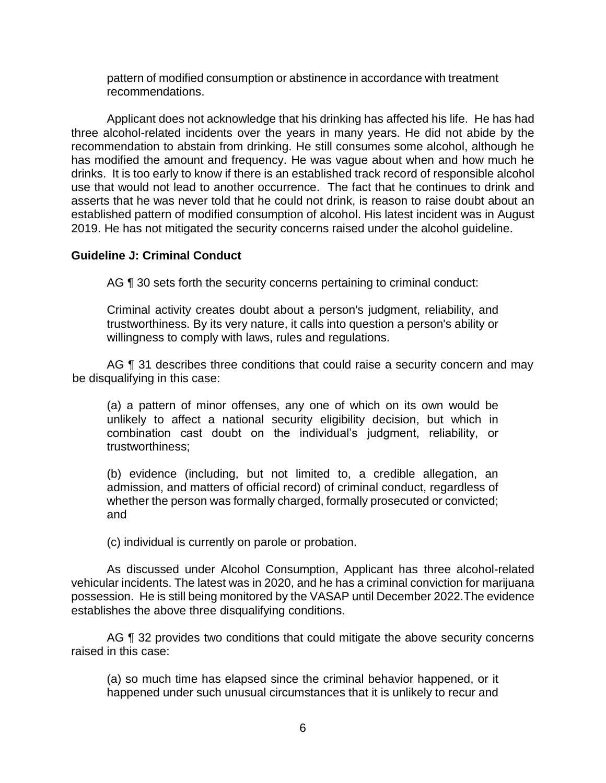pattern of modified consumption or abstinence in accordance with treatment recommendations.

 Applicant does not acknowledge that his drinking has affected his life. He has had three alcohol-related incidents over the years in many years. He did not abide by the recommendation to abstain from drinking. He still consumes some alcohol, although he has modified the amount and frequency. He was vague about when and how much he drinks. It is too early to know if there is an established track record of responsible alcohol use that would not lead to another occurrence. The fact that he continues to drink and asserts that he was never told that he could not drink, is reason to raise doubt about an established pattern of modified consumption of alcohol. His latest incident was in August 2019. He has not mitigated the security concerns raised under the alcohol guideline.

# **Guideline J: Criminal Conduct**

AG ¶ 30 sets forth the security concerns pertaining to criminal conduct:

Criminal activity creates doubt about a person's judgment, reliability, and trustworthiness. By its very nature, it calls into question a person's ability or willingness to comply with laws, rules and regulations.

AG ¶ 31 describes three conditions that could raise a security concern and may be disqualifying in this case:

(a) a pattern of minor offenses, any one of which on its own would be unlikely to affect a national security eligibility decision, but which in combination cast doubt on the individual's judgment, reliability, or trustworthiness;

(b) evidence (including, but not limited to, a credible allegation, an admission, and matters of official record) of criminal conduct, regardless of whether the person was formally charged, formally prosecuted or convicted; and

(c) individual is currently on parole or probation.

 vehicular incidents. The latest was in 2020, and he has a criminal conviction for marijuana possession. He is still being monitored by the VASAP until December 2022.The evidence As discussed under Alcohol Consumption, Applicant has three alcohol-related establishes the above three disqualifying conditions.

AG ¶ 32 provides two conditions that could mitigate the above security concerns raised in this case:

 (a) so much time has elapsed since the criminal behavior happened, or it happened under such unusual circumstances that it is unlikely to recur and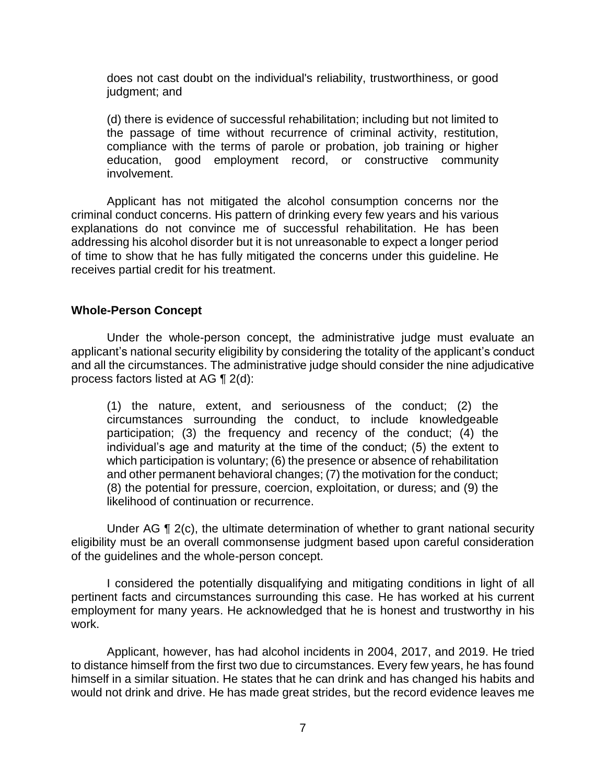does not cast doubt on the individual's reliability, trustworthiness, or good judgment; and

 (d) there is evidence of successful rehabilitation; including but not limited to the passage of time without recurrence of criminal activity, restitution, compliance with the terms of parole or probation, job training or higher education, good employment record, or constructive community involvement.

 Applicant has not mitigated the alcohol consumption concerns nor the criminal conduct concerns. His pattern of drinking every few years and his various explanations do not convince me of successful rehabilitation. He has been addressing his alcohol disorder but it is not unreasonable to expect a longer period of time to show that he has fully mitigated the concerns under this guideline. He receives partial credit for his treatment.

# **Whole-Person Concept**

 Under the whole-person concept, the administrative judge must evaluate an applicant's national security eligibility by considering the totality of the applicant's conduct and all the circumstances. The administrative judge should consider the nine adjudicative process factors listed at AG ¶ 2(d):

(1) the nature, extent, and seriousness of the conduct; (2) the circumstances surrounding the conduct, to include knowledgeable participation; (3) the frequency and recency of the conduct; (4) the individual's age and maturity at the time of the conduct; (5) the extent to which participation is voluntary; (6) the presence or absence of rehabilitation and other permanent behavioral changes; (7) the motivation for the conduct; (8) the potential for pressure, coercion, exploitation, or duress; and (9) the likelihood of continuation or recurrence.

Under AG ¶ 2(c), the ultimate determination of whether to grant national security eligibility must be an overall commonsense judgment based upon careful consideration of the guidelines and the whole-person concept.

 I considered the potentially disqualifying and mitigating conditions in light of all pertinent facts and circumstances surrounding this case. He has worked at his current employment for many years. He acknowledged that he is honest and trustworthy in his work.

 to distance himself from the first two due to circumstances. Every few years, he has found would not drink and drive. He has made great strides, but the record evidence leaves me Applicant, however, has had alcohol incidents in 2004, 2017, and 2019. He tried himself in a similar situation. He states that he can drink and has changed his habits and